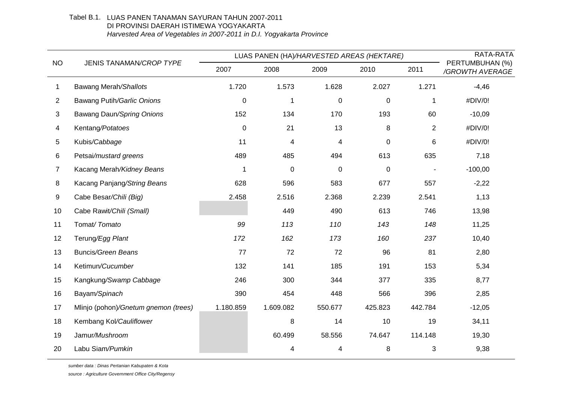## Tabel B.1. LUAS PANEN TANAMAN SAYURAN TAHUN 2007-2011 DI PROVINSI DAERAH ISTIMEWA YOGYAKARTA *Harvested Area of Vegetables in 2007-2011 in D.I. Yogyakarta Province*

| <b>NO</b>      | JENIS TANAMAN/CROP TYPE              | LUAS PANEN (HA)/HARVESTED AREAS (HEKTARE) |             |         |             |                | RATA-RATA                          |
|----------------|--------------------------------------|-------------------------------------------|-------------|---------|-------------|----------------|------------------------------------|
|                |                                      | 2007                                      | 2008        | 2009    | 2010        | 2011           | PERTUMBUHAN (%)<br>/GROWTH AVERAGE |
| 1              | Bawang Merah/Shallots                | 1.720                                     | 1.573       | 1.628   | 2.027       | 1.271          | $-4,46$                            |
| $\overline{2}$ | Bawang Putih/Garlic Onions           | $\pmb{0}$                                 | 1           | 0       | $\pmb{0}$   | $\mathbf{1}$   | #DIV/0!                            |
| 3              | Bawang Daun/Spring Onions            | 152                                       | 134         | 170     | 193         | 60             | $-10,09$                           |
| 4              | Kentang/Potatoes                     | $\pmb{0}$                                 | 21          | 13      | 8           | $\overline{2}$ | #DIV/0!                            |
| 5              | Kubis/Cabbage                        | 11                                        | 4           | 4       | $\mathbf 0$ | 6              | #DIV/0!                            |
| 6              | Petsai/mustard greens                | 489                                       | 485         | 494     | 613         | 635            | 7,18                               |
| 7              | Kacang Merah/Kidney Beans            | $\mathbf 1$                               | $\mathbf 0$ | 0       | 0           |                | $-100,00$                          |
| 8              | Kacang Panjang/String Beans          | 628                                       | 596         | 583     | 677         | 557            | $-2,22$                            |
| 9              | Cabe Besar/Chili (Big)               | 2.458                                     | 2.516       | 2.368   | 2.239       | 2.541          | 1,13                               |
| 10             | Cabe Rawit/Chili (Small)             |                                           | 449         | 490     | 613         | 746            | 13,98                              |
| 11             | Tomat/Tomato                         | 99                                        | 113         | 110     | 143         | 148            | 11,25                              |
| 12             | Terung/Egg Plant                     | 172                                       | 162         | 173     | 160         | 237            | 10,40                              |
| 13             | <b>Buncis/Green Beans</b>            | 77                                        | 72          | 72      | 96          | 81             | 2,80                               |
| 14             | Ketimun/Cucumber                     | 132                                       | 141         | 185     | 191         | 153            | 5,34                               |
| 15             | Kangkung/Swamp Cabbage               | 246                                       | 300         | 344     | 377         | 335            | 8,77                               |
| 16             | Bayam/Spinach                        | 390                                       | 454         | 448     | 566         | 396            | 2,85                               |
| 17             | Mlinjo (pohon)/Gnetum gnemon (trees) | 1.180.859                                 | 1.609.082   | 550.677 | 425.823     | 442.784        | $-12,05$                           |
| 18             | Kembang Kol/Cauliflower              |                                           | 8           | 14      | 10          | 19             | 34,11                              |
| 19             | Jamur/Mushroom                       |                                           | 60.499      | 58.556  | 74.647      | 114.148        | 19,30                              |
| 20             | Labu Siam/Pumkin                     |                                           | 4           | 4       | 8           | 3              | 9,38                               |

*sumber data : Dinas Pertanian Kabupaten & Kota*

*source : Agriculture Government Office City/Regensy*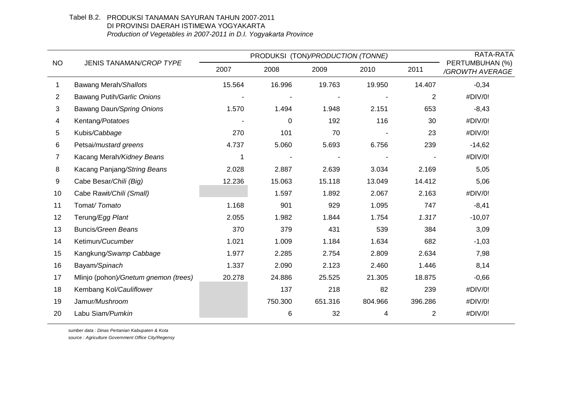## Tabel B.2. PRODUKSI TANAMAN SAYURAN TAHUN 2007-2011 DI PROVINSI DAERAH ISTIMEWA YOGYAKARTA *Production of Vegetables in 2007-2011 in D.I. Yogyakarta Province*

| <b>NO</b> | <b>JENIS TANAMAN/CROP TYPE</b>       | PRODUKSI (TON)/PRODUCTION (TONNE) | RATA-RATA |         |         |                |                                    |
|-----------|--------------------------------------|-----------------------------------|-----------|---------|---------|----------------|------------------------------------|
|           |                                      | 2007                              | 2008      | 2009    | 2010    | 2011           | PERTUMBUHAN (%)<br>/GROWTH AVERAGE |
| 1         | Bawang Merah/Shallots                | 15.564                            | 16.996    | 19.763  | 19.950  | 14.407         | $-0,34$                            |
| 2         | Bawang Putih/Garlic Onions           |                                   |           |         |         | $\overline{2}$ | #DIV/0!                            |
| 3         | Bawang Daun/Spring Onions            | 1.570                             | 1.494     | 1.948   | 2.151   | 653            | $-8,43$                            |
| 4         | Kentang/Potatoes                     |                                   | $\pmb{0}$ | 192     | 116     | 30             | #DIV/0!                            |
| 5         | Kubis/Cabbage                        | 270                               | 101       | 70      |         | 23             | #DIV/0!                            |
| 6         | Petsai/mustard greens                | 4.737                             | 5.060     | 5.693   | 6.756   | 239            | $-14,62$                           |
| 7         | Kacang Merah/Kidney Beans            | 1                                 |           |         |         |                | #DIV/0!                            |
| 8         | Kacang Panjang/String Beans          | 2.028                             | 2.887     | 2.639   | 3.034   | 2.169          | 5,05                               |
| 9         | Cabe Besar/Chili (Big)               | 12.236                            | 15.063    | 15.118  | 13.049  | 14.412         | 5,06                               |
| 10        | Cabe Rawit/Chili (Small)             |                                   | 1.597     | 1.892   | 2.067   | 2.163          | #DIV/0!                            |
| 11        | Tomat/Tomato                         | 1.168                             | 901       | 929     | 1.095   | 747            | $-8,41$                            |
| 12        | Terung/Egg Plant                     | 2.055                             | 1.982     | 1.844   | 1.754   | 1.317          | $-10,07$                           |
| 13        | <b>Buncis/Green Beans</b>            | 370                               | 379       | 431     | 539     | 384            | 3,09                               |
| 14        | Ketimun/Cucumber                     | 1.021                             | 1.009     | 1.184   | 1.634   | 682            | $-1,03$                            |
| 15        | Kangkung/Swamp Cabbage               | 1.977                             | 2.285     | 2.754   | 2.809   | 2.634          | 7,98                               |
| 16        | Bayam/Spinach                        | 1.337                             | 2.090     | 2.123   | 2.460   | 1.446          | 8,14                               |
| 17        | Mlinjo (pohon)/Gnetum gnemon (trees) | 20.278                            | 24.886    | 25.525  | 21.305  | 18.875         | $-0,66$                            |
| 18        | Kembang Kol/Cauliflower              |                                   | 137       | 218     | 82      | 239            | #DIV/0!                            |
| 19        | Jamur/Mushroom                       |                                   | 750.300   | 651.316 | 804.966 | 396.286        | #DIV/0!                            |
| 20        | Labu Siam/Pumkin                     |                                   | 6         | 32      | 4       | $\overline{2}$ | #DIV/0!                            |

*sumber data : Dinas Pertanian Kabupaten & Kota source : Agriculture Government Office City/Regensy*